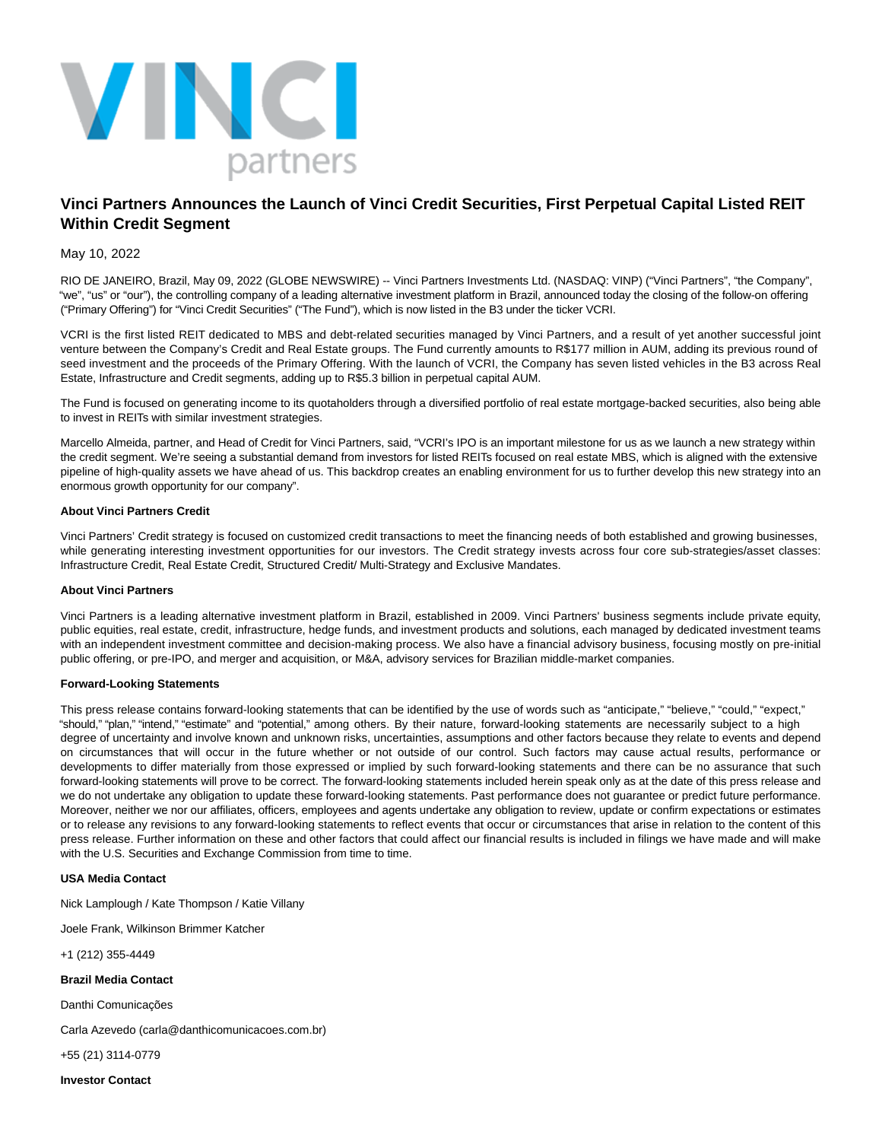

# **Vinci Partners Announces the Launch of Vinci Credit Securities, First Perpetual Capital Listed REIT Within Credit Segment**

## May 10, 2022

RIO DE JANEIRO, Brazil, May 09, 2022 (GLOBE NEWSWIRE) -- Vinci Partners Investments Ltd. (NASDAQ: VINP) ("Vinci Partners", "the Company", "we", "us" or "our"), the controlling company of a leading alternative investment platform in Brazil, announced today the closing of the follow-on offering ("Primary Offering") for "Vinci Credit Securities" ("The Fund"), which is now listed in the B3 under the ticker VCRI.

VCRI is the first listed REIT dedicated to MBS and debt-related securities managed by Vinci Partners, and a result of yet another successful joint venture between the Company's Credit and Real Estate groups. The Fund currently amounts to R\$177 million in AUM, adding its previous round of seed investment and the proceeds of the Primary Offering. With the launch of VCRI, the Company has seven listed vehicles in the B3 across Real Estate, Infrastructure and Credit segments, adding up to R\$5.3 billion in perpetual capital AUM.

The Fund is focused on generating income to its quotaholders through a diversified portfolio of real estate mortgage-backed securities, also being able to invest in REITs with similar investment strategies.

Marcello Almeida, partner, and Head of Credit for Vinci Partners, said, "VCRI's IPO is an important milestone for us as we launch a new strategy within the credit segment. We're seeing a substantial demand from investors for listed REITs focused on real estate MBS, which is aligned with the extensive pipeline of high-quality assets we have ahead of us. This backdrop creates an enabling environment for us to further develop this new strategy into an enormous growth opportunity for our company".

### **About Vinci Partners Credit**

Vinci Partners' Credit strategy is focused on customized credit transactions to meet the financing needs of both established and growing businesses, while generating interesting investment opportunities for our investors. The Credit strategy invests across four core sub-strategies/asset classes: Infrastructure Credit, Real Estate Credit, Structured Credit/ Multi-Strategy and Exclusive Mandates.

#### **About Vinci Partners**

Vinci Partners is a leading alternative investment platform in Brazil, established in 2009. Vinci Partners' business segments include private equity, public equities, real estate, credit, infrastructure, hedge funds, and investment products and solutions, each managed by dedicated investment teams with an independent investment committee and decision-making process. We also have a financial advisory business, focusing mostly on pre-initial public offering, or pre-IPO, and merger and acquisition, or M&A, advisory services for Brazilian middle-market companies.

#### **Forward-Looking Statements**

This press release contains forward-looking statements that can be identified by the use of words such as "anticipate," "believe," "could," "expect," "should," "plan," "intend," "estimate" and "potential," among others. By their nature, forward-looking statements are necessarily subject to a high degree of uncertainty and involve known and unknown risks, uncertainties, assumptions and other factors because they relate to events and depend on circumstances that will occur in the future whether or not outside of our control. Such factors may cause actual results, performance or developments to differ materially from those expressed or implied by such forward-looking statements and there can be no assurance that such forward-looking statements will prove to be correct. The forward-looking statements included herein speak only as at the date of this press release and we do not undertake any obligation to update these forward-looking statements. Past performance does not guarantee or predict future performance. Moreover, neither we nor our affiliates, officers, employees and agents undertake any obligation to review, update or confirm expectations or estimates or to release any revisions to any forward-looking statements to reflect events that occur or circumstances that arise in relation to the content of this press release. Further information on these and other factors that could affect our financial results is included in filings we have made and will make with the U.S. Securities and Exchange Commission from time to time.

#### **USA Media Contact**

Nick Lamplough / Kate Thompson / Katie Villany

Joele Frank, Wilkinson Brimmer Katcher

+1 (212) 355-4449

**Brazil Media Contact**

Danthi Comunicações

Carla Azevedo (carla@danthicomunicacoes.com.br)

+55 (21) 3114-0779

**Investor Contact**